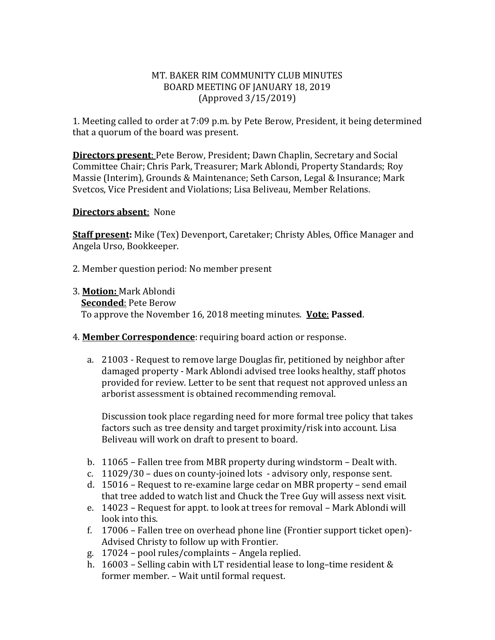#### MT. BAKER RIM COMMUNITY CLUB MINUTES BOARD MEETING OF JANUARY 18, 2019 (Approved 3/15/2019)

1. Meeting called to order at 7:09 p.m. by Pete Berow, President, it being determined that a quorum of the board was present.

**Directors present**: Pete Berow, President; Dawn Chaplin, Secretary and Social Committee Chair; Chris Park, Treasurer; Mark Ablondi, Property Standards; Roy Massie (Interim), Grounds & Maintenance; Seth Carson, Legal & Insurance; Mark Svetcos, Vice President and Violations; Lisa Beliveau, Member Relations.

#### **Directors absent**: None

**Staff present:** Mike (Tex) Devenport, Caretaker; Christy Ables, Office Manager and Angela Urso, Bookkeeper.

2. Member question period: No member present

- 3. **Motion:** Mark Ablondi **Seconded**: Pete Berow To approve the November 16, 2018 meeting minutes. **Vote**: **Passed**.
- 4. **Member Correspondence**: requiring board action or response.
	- a. 21003 Request to remove large Douglas fir, petitioned by neighbor after damaged property - Mark Ablondi advised tree looks healthy, staff photos provided for review. Letter to be sent that request not approved unless an arborist assessment is obtained recommending removal.

Discussion took place regarding need for more formal tree policy that takes factors such as tree density and target proximity/risk into account. Lisa Beliveau will work on draft to present to board.

- b. 11065 Fallen tree from MBR property during windstorm Dealt with.
- c. 11029/30 dues on county-joined lots advisory only, response sent.
- d. 15016 Request to re-examine large cedar on MBR property send email that tree added to watch list and Chuck the Tree Guy will assess next visit.
- e. 14023 Request for appt. to look at trees for removal Mark Ablondi will look into this.
- f. 17006 Fallen tree on overhead phone line (Frontier support ticket open)- Advised Christy to follow up with Frontier.
- g. 17024 pool rules/complaints Angela replied.
- h. 16003 Selling cabin with LT residential lease to long–time resident & former member. – Wait until formal request.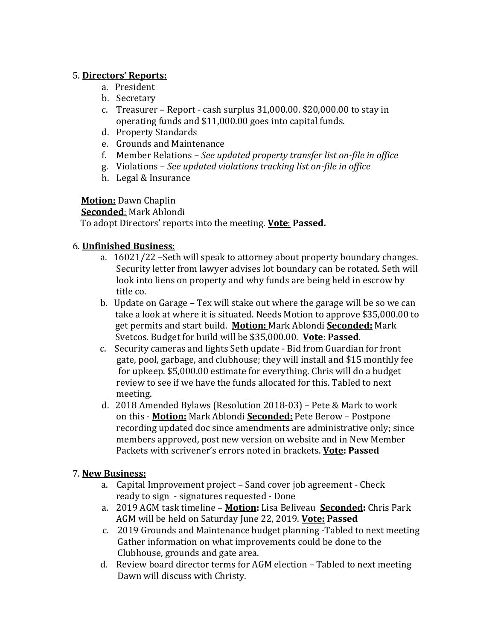### 5. **Directors' Reports:**

- a. President
- b. Secretary
- c. Treasurer Report cash surplus 31,000.00. \$20,000.00 to stay in operating funds and \$11,000.00 goes into capital funds.
- d. Property Standards
- e. Grounds and Maintenance
- f. Member Relations *See updated property transfer list on-file in office*
- g. Violations *See updated violations tracking list on-file in office*
- h. Legal & Insurance

# **Motion:** Dawn Chaplin

#### **Seconded**: Mark Ablondi

To adopt Directors' reports into the meeting. **Vote**: **Passed.** 

# 6. **Unfinished Business**:

- a. 16021/22 –Seth will speak to attorney about property boundary changes. Security letter from lawyer advises lot boundary can be rotated. Seth will look into liens on property and why funds are being held in escrow by title co.
- b. Update on Garage Tex will stake out where the garage will be so we can take a look at where it is situated. Needs Motion to approve \$35,000.00 to get permits and start build. **Motion:** Mark Ablondi **Seconded:** Mark Svetcos. Budget for build will be \$35,000.00. **Vote**: **Passed**.
- c. Security cameras and lights Seth update Bid from Guardian for front gate, pool, garbage, and clubhouse; they will install and \$15 monthly fee for upkeep. \$5,000.00 estimate for everything. Chris will do a budget review to see if we have the funds allocated for this. Tabled to next meeting.
- d. 2018 Amended Bylaws (Resolution 2018-03) Pete & Mark to work on this - **Motion:** Mark Ablondi **Seconded:** Pete Berow – Postpone recording updated doc since amendments are administrative only; since members approved, post new version on website and in New Member Packets with scrivener's errors noted in brackets. **Vote: Passed**

# 7. **New Business:**

- a. Capital Improvement project Sand cover job agreement Check ready to sign - signatures requested - Done
- a. 2019 AGM task timeline **Motion:** Lisa Beliveau **Seconded:** Chris Park AGM will be held on Saturday June 22, 2019. **Vote: Passed**
- c. 2019 Grounds and Maintenance budget planning -Tabled to next meeting Gather information on what improvements could be done to the Clubhouse, grounds and gate area.
- d. Review board director terms for AGM election Tabled to next meeting Dawn will discuss with Christy.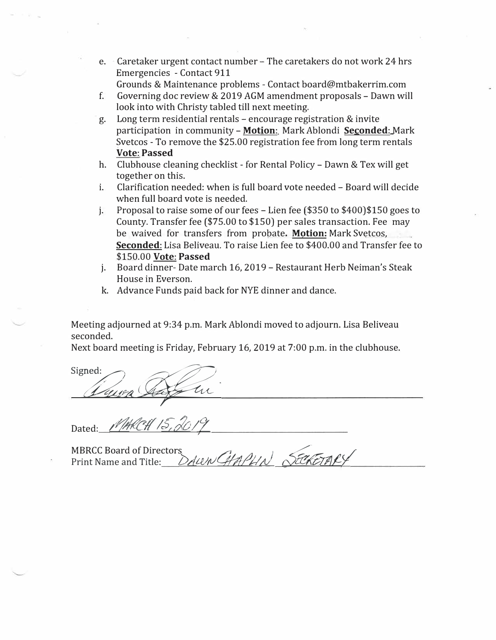- e. Caretaker urgent contact number The caretakers do not work 24 hrs Emergencies - Contact 911
	- Grounds & Maintenance problems Contact board@mtbakerrim.com
- f. Governing doc review & 2019 AGM amendment proposals Dawn will look into with Christy tabled till next meeting.
- g. Long term residential rentals encourage registration & invite participation in community - **Motion:** Mark Ablondi **Seconded:** Mark Svetcos - To remove the \$25.00 registration fee from long term rentals **Vote: Passed**
- h. Clubhouse cleaning checklist for Rental Policy Dawn & Tex will get together on this.
- i. Clarification needed: when is full board vote needed Board will decide when full board vote is needed.
- j. Proposal to raise some of our fees Lien fee (\$350 to \$400)\$150 goes to County. Transfer fee (\$75.00 to \$150) per sales transaction. Fee may be waived for transfers from probate. **Motion:** Mark Svetcos, **Seconded:** Lisa Beliveau. To raise Lien fee to \$400.00 and Transfer fee to \$150.00 **Vote: Passed**
- j. Board dinner- Date march 16, 2019 Restaurant Herb Neiman's Steak House in Everson.
- k. Advance Funds paid back for NYE dinner and dance.

Meeting adjourned at 9:34 p.m. Mark Ablondi moved to adjourn. Lisa Beliveau seconded.

Next board meeting is Friday, February 16, 2019 at 7:00 p.m. in the clubhouse.

Signed:

Dated: *MARCH 15, 2019* 

MBRCC Board of Directors<br>Print Name and Title: *DAWN CHAPLIN* SECKETAL